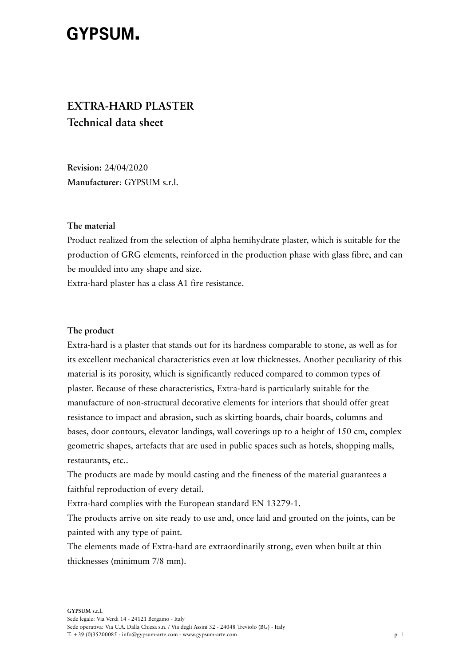# **GYPSUM.**

# **EXTRA-HARD PLASTER Technical data sheet**

**Revision:** 24/04/2020 **Manufacturer**: GYPSUM s.r.l.

#### **The material**

Product realized from the selection of alpha hemihydrate plaster, which is suitable for the production of GRG elements, reinforced in the production phase with glass fibre, and can be moulded into any shape and size.

Extra-hard plaster has a class A1 fire resistance.

### **The product**

Extra-hard is a plaster that stands out for its hardness comparable to stone, as well as for its excellent mechanical characteristics even at low thicknesses. Another peculiarity of this material is its porosity, which is significantly reduced compared to common types of plaster. Because of these characteristics, Extra-hard is particularly suitable for the manufacture of non-structural decorative elements for interiors that should offer great resistance to impact and abrasion, such as skirting boards, chair boards, columns and bases, door contours, elevator landings, wall coverings up to a height of 150 cm, complex geometric shapes, artefacts that are used in public spaces such as hotels, shopping malls, restaurants, etc..

The products are made by mould casting and the fineness of the material guarantees a faithful reproduction of every detail.

Extra-hard complies with the European standard EN 13279-1.

The products arrive on site ready to use and, once laid and grouted on the joints, can be painted with any type of paint.

The elements made of Extra-hard are extraordinarily strong, even when built at thin thicknesses (minimum 7/8 mm).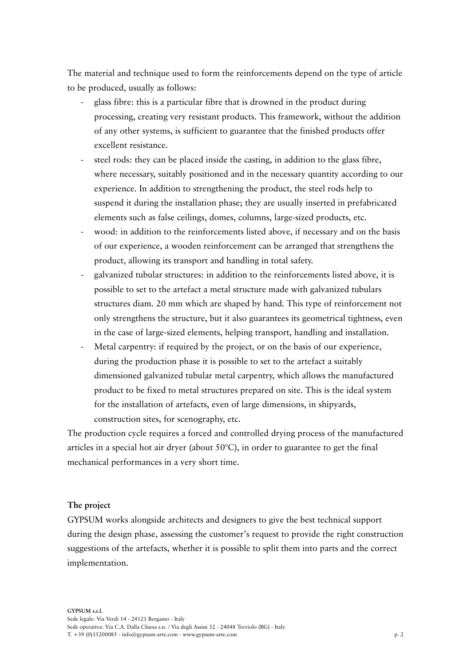The material and technique used to form the reinforcements depend on the type of article to be produced, usually as follows:

- glass fibre: this is a particular fibre that is drowned in the product during processing, creating very resistant products. This framework, without the addition of any other systems, is sufficient to guarantee that the finished products offer excellent resistance.
- steel rods: they can be placed inside the casting, in addition to the glass fibre, where necessary, suitably positioned and in the necessary quantity according to our experience. In addition to strengthening the product, the steel rods help to suspend it during the installation phase; they are usually inserted in prefabricated elements such as false ceilings, domes, columns, large-sized products, etc.
- wood: in addition to the reinforcements listed above, if necessary and on the basis of our experience, a wooden reinforcement can be arranged that strengthens the product, allowing its transport and handling in total safety.
- galvanized tubular structures: in addition to the reinforcements listed above, it is possible to set to the artefact a metal structure made with galvanized tubulars structures diam. 20 mm which are shaped by hand. This type of reinforcement not only strengthens the structure, but it also guarantees its geometrical tightness, even in the case of large-sized elements, helping transport, handling and installation.
- Metal carpentry: if required by the project, or on the basis of our experience, during the production phase it is possible to set to the artefact a suitably dimensioned galvanized tubular metal carpentry, which allows the manufactured product to be fixed to metal structures prepared on site. This is the ideal system for the installation of artefacts, even of large dimensions, in shipyards, construction sites, for scenography, etc.

The production cycle requires a forced and controlled drying process of the manufactured articles in a special hot air dryer (about  $50^{\circ}$ C), in order to guarantee to get the final mechanical performances in a very short time.

#### **The project**

GYPSUM works alongside architects and designers to give the best technical support during the design phase, assessing the customer's request to provide the right construction suggestions of the artefacts, whether it is possible to split them into parts and the correct implementation.